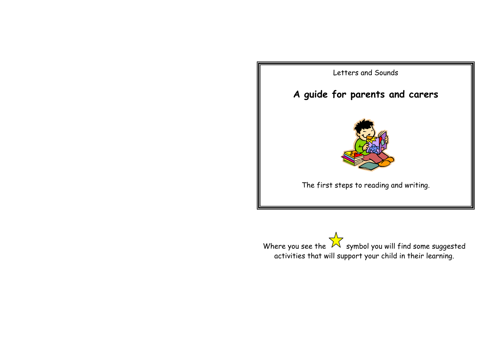

Where you see the  $\mathbb N$  symbol you will find some suggested activities that will support your child in their learning.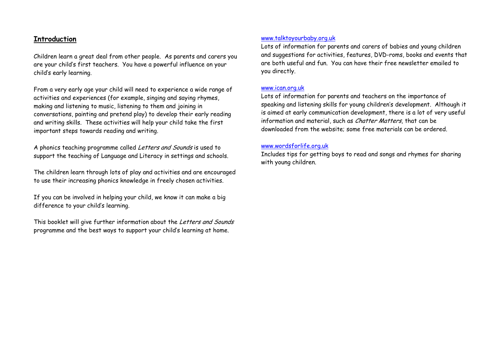#### **Introduction**

Children learn a great deal from other people. As parents and carers you are your child's first teachers. You have a powerful influence on your child's early learning.

From a very early age your child will need to experience a wide range of activities and experiences (for example, singing and saying rhymes, making and listening to music, listening to them and joining in conversations, painting and pretend play) to develop their early reading and writing skills. These activities will help your child take the first important steps towards reading and writing.

A phonics teaching programme called Letters and Sounds is used to support the teaching of Language and Literacy in settings and schools.

The children learn through lots of play and activities and are encouraged to use their increasing phonics knowledge in freely chosen activities.

If you can be involved in helping your child, we know it can make a big difference to your child's learning.

This booklet will give further information about the Letters and Sounds programme and the best ways to support your child's learning at home.

#### www.talktoyourbaby.org.uk

Lots of information for parents and carers of babies and young children and suggestions for activities, features, DVD-roms, books and events that are both useful and fun. You can have their free newsletter emailed to you directly.

#### www.ican.org.uk

Lots of information for parents and teachers on the importance of speaking and listening skills for young children's development. Although it is aimed at early communication development, there is a lot of very useful information and material, such as *Chatter Matters*, that can be downloaded from the website; some free materials can be ordered.

#### www.wordsforlife.org.uk

Includes tips for getting boys to read and songs and rhymes for sharing with young children.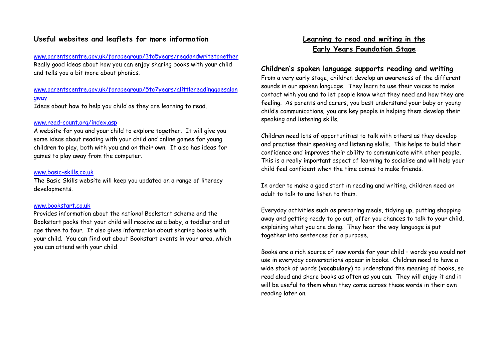#### **Useful websites and leaflets for more information**

www.parentscentre.gov.uk/foragegroup/3to5years/readandwritetogether Really good ideas about how you can enjoy sharing books with your child and tells you a bit more about phonics.

#### www.parentscentre.gov.uk/foragegroup/5to7years/alittlereadinggoesalon gway

Ideas about how to help you child as they are learning to read.

#### www.read-count.org/index.asp

A website for you and your child to explore together. It will give you some ideas about reading with your child and online games for young children to play, both with you and on their own. It also has ideas for games to play away from the computer.

#### www.basic-skills.co.uk

The Basic Skills website will keep you updated on a range of literacy developments.

#### www.bookstart.co.uk

Provides information about the national Bookstart scheme and the Bookstart packs that your child will receive as a baby, a toddler and at age three to four. It also gives information about sharing books with your child. You can find out about Bookstart events in your area, which you can attend with your child.

# **Learning to read and writing in the Early Years Foundation Stage**

#### **Children's spoken language supports reading and writing**

From a very early stage, children develop an awareness of the different sounds in our spoken language. They learn to use their voices to make contact with you and to let people know what they need and how they are feeling. As parents and carers, you best understand your baby or young child's communications; you are key people in helping them develop their speaking and listening skills.

Children need lots of opportunities to talk with others as they develop and practise their speaking and listening skills. This helps to build their confidence and improves their ability to communicate with other people. This is a really important aspect of learning to socialise and will help your child feel confident when the time comes to make friends.

In order to make a good start in reading and writing, children need an adult to talk to and listen to them.

Everyday activities such as preparing meals, tidying up, putting shopping away and getting ready to go out, offer you chances to talk to your child, explaining what you are doing. They hear the way language is put together into sentences for a purpose.

Books are a rich source of new words for your child – words you would not use in everyday conversations appear in books. Children need to have a wide stock of words (**vocabulary**) to understand the meaning of books, so read aloud and share books as often as you can. They will enjoy it and it will be useful to them when they come across these words in their own reading later on.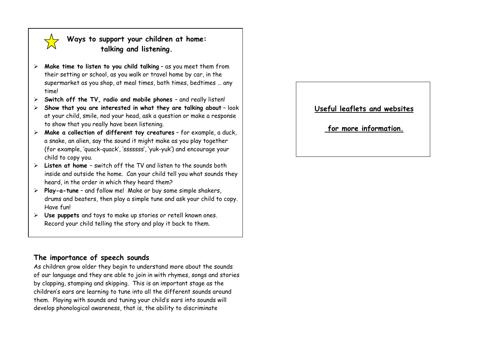

# **Ways to support your children at home: talking and listening.**

- ⋗ **Make time to listen to you child talking** – as you meet them from their setting or school, as you walk or travel home by car, in the supermarket as you shop, at meal times, bath times, bedtimes … any time!
- ⋗ **Switch off the TV, radio and mobile phones** – and really listen!
- ⋗ **Show that you are interested in what they are talking about** – look at your child, smile, nod your head, ask a question or make a response to show that you really have been listening.
- **Make a collection of different toy creatures** for example, a duck, a snake, an alien, say the sound it might make as you play together (for example, 'quack-quack', 'sssssss', 'yuk-yuk') and encourage your child to copy you.
- **Listen at home**  switch off the TV and listen to the sounds both inside and outside the home. Can your child tell you what sounds they heard, in the order in which they heard them?
- **Play-a-tune** and follow me! Make or buy some simple shakers, drums and beaters, then play a simple tune and ask your child to copy. Have fun!
- **Use puppets** and toys to make up stories or retell known ones. Record your child telling the story and play it back to them.

# **The importance of speech sounds**

As children grow older they begin to understand more about the sounds of our language and they are able to join in with rhymes, songs and stories by clapping, stamping and skipping. This is an important stage as the children's ears are learning to tune into all the different sounds around them. Playing with sounds and tuning your child's ears into sounds will develop phonological awareness, that is, the ability to discriminate

#### **Useful leaflets and websites**

 **for more information.**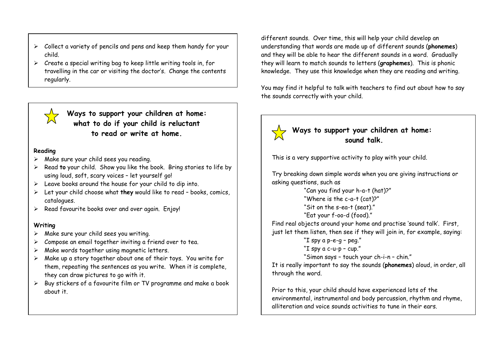- $\triangleright$  Collect a variety of pencils and pens and keep them handy for your child.
- $\triangleright$  Create a special writing bag to keep little writing tools in, for travelling in the car or visiting the doctor's. Change the contents regularly.



**Ways to support your children at home: what to do if your child is reluctant to read or write at home.**

#### **Reading**

- $\triangleright$  Make sure your child sees you reading.
- $\blacktriangleright$  Read **to** your child. Show you like the book. Bring stories to life by using loud, soft, scary voices – let yourself go!
- $\triangleright$  Leave books around the house for your child to dip into.
- Let your child choose what **they** would like to read books, comics, catalogues.
- $\triangleright$  Read favourite books over and over again. Enjoy!

#### **Writing**

- $\triangleright$  Make sure your child sees you writing.
- $\triangleright$  Compose an email together inviting a friend over to tea.
- ➤ Make words together using magnetic letters.
- $\blacktriangleright$  Make up a story together about one of their toys. You write for them, repeating the sentences as you write. When it is complete, they can draw pictures to go with it.
- $\triangleright$  Buy stickers of a favourite film or TV programme and make a book about it.

different sounds. Over time, this will help your child develop an understanding that words are made up of different sounds (**phonemes**) and they will be able to hear the different sounds in a word. Gradually they will learn to match sounds to letters (**graphemes**). This is phonic knowledge. They use this knowledge when they are reading and writing.

You may find it helpful to talk with teachers to find out about how to say the sounds correctly with your child.

# **Ways to support your children at home:**

**sound talk.**

This is a very supportive activity to play with your child.

Try breaking down simple words when you are giving instructions or asking questions, such as

> "Can you find your h-a-t (hat)?" "Where is the c-a-t (cat)?" "Sit on the s-ea-t (seat)." "Eat your f-oo-d (food)."

Find real objects around your home and practise 'sound talk'. First, just let them listen, then see if they will join in, for example, saying:

> "I spy a p-e-g – peg." "I spy a c-u-p – cup." "Simon says – touch your ch-i-n – chin."

It is really important to say the sounds (**phonemes**) aloud, in order, all through the word.

Prior to this, your child should have experienced lots of the environmental, instrumental and body percussion, rhythm and rhyme, alliteration and voice sounds activities to tune in their ears.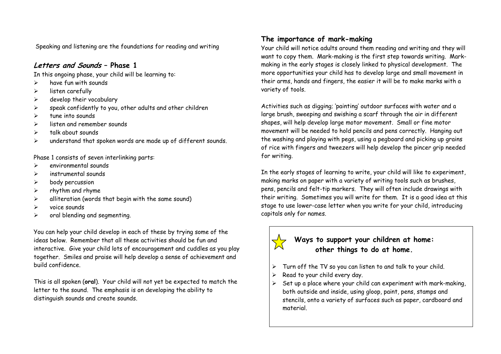Speaking and listening are the foundations for reading and writing

# **Letters and Sounds – Phase 1**

In this ongoing phase, your child will be learning to:

- $\triangleright$ have fun with sounds
- $\blacktriangleright$ listen carefully
- $\blacktriangleright$ develop their vocabulary
- $\blacktriangleright$ speak confidently to you, other adults and other children
- $\blacktriangleright$ tune into sounds
- $\triangleright$ listen and remember sounds
- $\blacktriangleright$ talk about sounds
- $\blacktriangleright$ understand that spoken words are made up of different sounds.

Phase 1 consists of seven interlinking parts:

- $\triangleright$ environmental sounds
- $\blacktriangleright$ instrumental sounds
- $\blacktriangleright$ body percussion
- $\blacktriangleright$ rhythm and rhyme
- $\blacktriangleright$ alliteration (words that begin with the same sound)
- $\triangleright$ voice sounds
- $\triangleright$ oral blending and segmenting.

You can help your child develop in each of these by trying some of the ideas below. Remember that all these activities should be fun and interactive. Give your child lots of encouragement and cuddles as you play together. Smiles and praise will help develop a sense of achievement and build confidence.

This is all spoken (**oral**). Your child will not yet be expected to match the letter to the sound. The emphasis is on developing the ability to distinguish sounds and create sounds.

# **The importance of mark-making**

Your child will notice adults around them reading and writing and they will want to copy them. Mark-making is the first step towards writing. Markmaking in the early stages is closely linked to physical development. The more opportunities your child has to develop large and small movement in their arms, hands and fingers, the easier it will be to make marks with a variety of tools.

Activities such as digging; 'painting' outdoor surfaces with water and a large brush, sweeping and swishing a scarf through the air in different shapes, will help develop large motor movement. Small or fine motor movement will be needed to hold pencils and pens correctly. Hanging out the washing and playing with pegs, using a pegboard and picking up grains of rice with fingers and tweezers will help develop the pincer grip needed for writing.

In the early stages of learning to write, your child will like to experiment, making marks on paper with a variety of writing tools such as brushes, pens, pencils and felt-tip markers. They will often include drawings with their writing. Sometimes you will write for them. It is a good idea at this stage to use lower-case letter when you write for your child, introducing capitals only for names.

# **Ways to support your children at home: other things to do at home.**

- ⋗ Turn off the TV so you can listen to and talk to your child.
- ⋗ Read to your child every day.
- $\blacktriangleright$  Set up a place where your child can experiment with mark-making, both outside and inside, using gloop, paint, pens, stamps and stencils, onto a variety of surfaces such as paper, cardboard and material.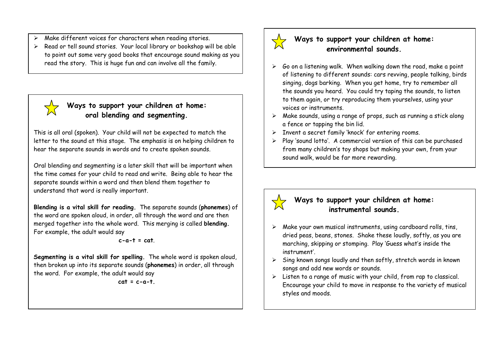- ⋗ Make different voices for characters when reading stories.
- ⋗ Read or tell sound stories. Your local library or bookshop will be able to point out some very good books that encourage sound making as you read the story. This is huge fun and can involve all the family.

# **Ways to support your children at home: oral blending and segmenting.**

This is all oral (spoken). Your child will not be expected to match the letter to the sound at this stage. The emphasis is on helping children to hear the separate sounds in words and to create spoken sounds.

Oral blending and segmenting is a later skill that will be important when the time comes for your child to read and write. Being able to hear the separate sounds within a word and then blend them together to understand that word is really important.

**Blending is a vital skill for reading.** The separate sounds (**phonemes**) of the word are spoken aloud, in order, all through the word and are then merged together into the whole word. This merging is called **blending.** For example, the adult would say

#### **c-a-t = cat**.

**Segmenting is a vital skill for spelling.** The whole word is spoken aloud, then broken up into its separate sounds (**phonemes**) in order, all through the word. For example, the adult would say

 $cat = c - a - t$ .



# **Ways to support your children at home: environmental sounds.**

- $\triangleright$  60 on a listening walk. When walking down the road, make a point of listening to different sounds: cars revving, people talking, birds singing, dogs barking. When you get home, try to remember all the sounds you heard. You could try taping the sounds, to listen to them again, or try reproducing them yourselves, using your voices or instruments.
- $\triangleright$  Make sounds, using a range of props, such as running a stick along a fence or tapping the bin lid.
- $\triangleright$  Invent a secret family 'knock' for entering rooms.
- $\triangleright$  Play 'sound lotto'. A commercial version of this can be purchased from many children's toy shops but making your own, from your sound walk, would be far more rewarding.

# **Ways to support your children at home: instrumental sounds.**

# $\triangleright$  Make your own musical instruments, using cardboard rolls, tins, dried peas, beans, stones. Shake these loudly, softly, as you are marching, skipping or stomping. Play 'Guess what's inside the instrument'.

- $\blacktriangleright$  Sing known songs loudly and then softly, stretch words in known songs and add new words or sounds.
- $\triangleright$  Listen to a range of music with your child, from rap to classical. Encourage your child to move in response to the variety of musical styles and moods.